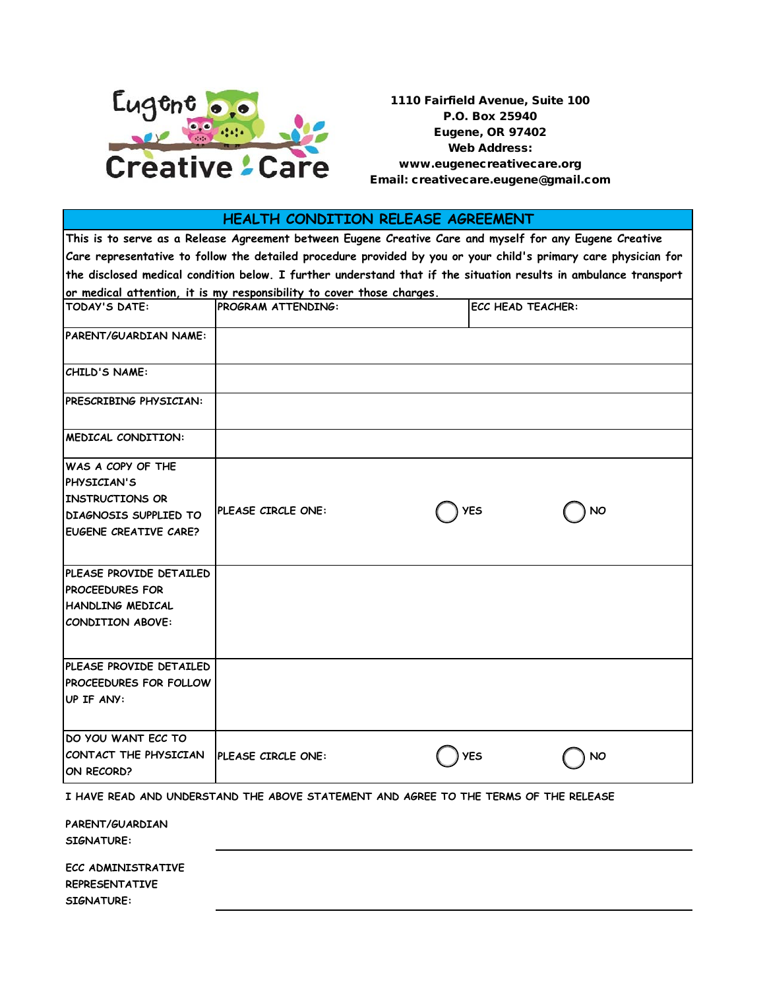

1110 Fairfield Avenue, Suite 100 P.O. Box 25940 Eugene, OR 97402 Web Address: www.eugenecreativecare.org Email: creativecare.eugene@gmail.com

## **HEALTH CONDITION RELEASE AGREEMENT**

**This is to serve as a Release Agreement between Eugene Creative Care and myself for any Eugene Creative Care representative to follow the detailed procedure provided by you or your child's primary care physician for the disclosed medical condition below. I further understand that if the situation results in ambulance transport or medical attention, it is my responsibility to cover those charges.**

| <b>TODAY'S DATE:</b>                                                                                                | <b>PROGRAM ATTENDING:</b> |  | <b>ECC HEAD TEACHER:</b> |           |  |
|---------------------------------------------------------------------------------------------------------------------|---------------------------|--|--------------------------|-----------|--|
| PARENT/GUARDIAN NAME:                                                                                               |                           |  |                          |           |  |
| CHILD'S NAME:                                                                                                       |                           |  |                          |           |  |
| <b>PRESCRIBING PHYSICIAN:</b>                                                                                       |                           |  |                          |           |  |
| MEDICAL CONDITION:                                                                                                  |                           |  |                          |           |  |
| <b>WAS A COPY OF THE</b><br>PHYSICIAN'S<br><b>INSTRUCTIONS OR</b><br>DIAGNOSIS SUPPLIED TO<br>EUGENE CREATIVE CARE? | PLEASE CIRCLE ONE:        |  | <b>YES</b>               | <b>NO</b> |  |
| PLEASE PROVIDE DETAILED<br><b>PROCEEDURES FOR</b><br><b>HANDLING MEDICAL</b><br>CONDITION ABOVE:                    |                           |  |                          |           |  |
| PLEASE PROVIDE DETAILED<br><b>PROCEEDURES FOR FOLLOW</b><br>UP IF ANY:                                              |                           |  |                          |           |  |
| DO YOU WANT ECC TO<br>CONTACT THE PHYSICIAN<br>ON RECORD?                                                           | PLEASE CIRCLE ONE:        |  | <b>YES</b>               | <b>NO</b> |  |

**I HAVE READ AND UNDERSTAND THE ABOVE STATEMENT AND AGREE TO THE TERMS OF THE RELEASE**

| PARENT/GUARDIAN<br><b>SIGNATURE:</b>                             |  |  |
|------------------------------------------------------------------|--|--|
| ECC ADMINISTRATIVE<br><b>REPRESENTATIVE</b><br><b>SIGNATURE:</b> |  |  |